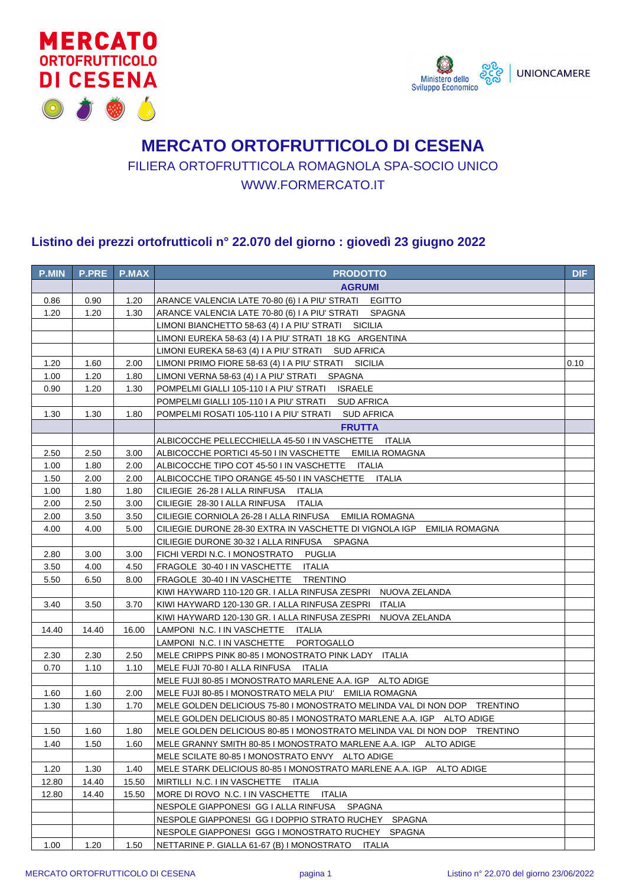



## **MERCATO ORTOFRUTTICOLO DI CESENA** FILIERA ORTOFRUTTICOLA ROMAGNOLA SPA-SOCIO UNICO WWW.FORMERCATO.IT

## **Listino dei prezzi ortofrutticoli n° 22.070 del giorno : giovedì 23 giugno 2022**

| <b>P.MIN</b> | <b>P.PRE</b> | <b>P.MAX</b> | <b>PRODOTTO</b>                                                          | <b>DIF</b> |
|--------------|--------------|--------------|--------------------------------------------------------------------------|------------|
|              |              |              | <b>AGRUMI</b>                                                            |            |
| 0.86         | 0.90         | 1.20         | ARANCE VALENCIA LATE 70-80 (6) I A PIU' STRATI EGITTO                    |            |
| 1.20         | 1.20         | 1.30         | ARANCE VALENCIA LATE 70-80 (6) I A PIU' STRATI SPAGNA                    |            |
|              |              |              | LIMONI BIANCHETTO 58-63 (4) I A PIU' STRATI SICILIA                      |            |
|              |              |              | LIMONI EUREKA 58-63 (4) I A PIU' STRATI 18 KG ARGENTINA                  |            |
|              |              |              | LIMONI EUREKA 58-63 (4) I A PIU' STRATI SUD AFRICA                       |            |
| 1.20         | 1.60         | 2.00         | LIMONI PRIMO FIORE 58-63 (4) I A PIU' STRATI SICILIA                     | 0.10       |
| 1.00         | 1.20         | 1.80         | LIMONI VERNA 58-63 (4) I A PIU' STRATI SPAGNA                            |            |
| 0.90         | 1.20         | 1.30         | POMPELMI GIALLI 105-110 I A PIU' STRATI ISRAELE                          |            |
|              |              |              | POMPELMI GIALLI 105-110 I A PIU' STRATI SUD AFRICA                       |            |
| 1.30         | 1.30         | 1.80         | POMPELMI ROSATI 105-110 I A PIU' STRATI SUD AFRICA                       |            |
|              |              |              | <b>FRUTTA</b>                                                            |            |
|              |              |              | ALBICOCCHE PELLECCHIELLA 45-50 I IN VASCHETTE ITALIA                     |            |
| 2.50         | 2.50         | 3.00         | ALBICOCCHE PORTICI 45-50 I IN VASCHETTE EMILIA ROMAGNA                   |            |
| 1.00         | 1.80         | 2.00         | ALBICOCCHE TIPO COT 45-50 I IN VASCHETTE ITALIA                          |            |
| 1.50         | 2.00         | 2.00         | ALBICOCCHE TIPO ORANGE 45-50 I IN VASCHETTE ITALIA                       |            |
| 1.00         | 1.80         | 1.80         | CILIEGIE 26-28 I ALLA RINFUSA ITALIA                                     |            |
| 2.00         | 2.50         | 3.00         | CILIEGIE 28-30 I ALLA RINFUSA ITALIA                                     |            |
| 2.00         | 3.50         | 3.50         | CILIEGIE CORNIOLA 26-28 I ALLA RINFUSA EMILIA ROMAGNA                    |            |
| 4.00         | 4.00         | 5.00         | CILIEGIE DURONE 28-30 EXTRA IN VASCHETTE DI VIGNOLA IGP EMILIA ROMAGNA   |            |
|              |              |              | CILIEGIE DURONE 30-32 I ALLA RINFUSA SPAGNA                              |            |
| 2.80         | 3.00         | 3.00         | FICHI VERDI N.C. I MONOSTRATO PUGLIA                                     |            |
| 3.50         | 4.00         | 4.50         | FRAGOLE 30-40 I IN VASCHETTE ITALIA                                      |            |
| 5.50         | 6.50         | 8.00         | FRAGOLE 30-40 I IN VASCHETTE TRENTINO                                    |            |
|              |              |              | KIWI HAYWARD 110-120 GR. I ALLA RINFUSA ZESPRI ANUOVA ZELANDA            |            |
| 3.40         | 3.50         | 3.70         | KIWI HAYWARD 120-130 GR. I ALLA RINFUSA ZESPRI ITALIA                    |            |
|              |              |              | KIWI HAYWARD 120-130 GR. I ALLA RINFUSA ZESPRI    NUOVA ZELANDA          |            |
| 14.40        | 14.40        | 16.00        | LAMPONI N.C. I IN VASCHETTE ITALIA                                       |            |
|              |              |              | LAMPONI N.C. I IN VASCHETTE PORTOGALLO                                   |            |
| 2.30         | 2.30         | 2.50         | MELE CRIPPS PINK 80-85 I MONOSTRATO PINK LADY ITALIA                     |            |
| 0.70         | 1.10         | 1.10         | MELE FUJI 70-80 I ALLA RINFUSA ITALIA                                    |            |
|              |              |              | MELE FUJI 80-85 I MONOSTRATO MARLENE A.A. IGP ALTO ADIGE                 |            |
| 1.60         | 1.60         | 2.00         | MELE FUJI 80-85 I MONOSTRATO MELA PIU' EMILIA ROMAGNA                    |            |
| 1.30         | 1.30         | 1.70         | MELE GOLDEN DELICIOUS 75-80 I MONOSTRATO MELINDA VAL DI NON DOP TRENTINO |            |
|              |              |              | MELE GOLDEN DELICIOUS 80-85 I MONOSTRATO MARLENE A.A. IGP ALTO ADIGE     |            |
| 1.50         | 1.60         | 1.80         | MELE GOLDEN DELICIOUS 80-85 I MONOSTRATO MELINDA VAL DI NON DOP TRENTINO |            |
| 1.40         | 1.50         | 1.60         | MELE GRANNY SMITH 80-85 I MONOSTRATO MARLENE A.A. IGP ALTO ADIGE         |            |
|              |              |              | MELE SCILATE 80-85 I MONOSTRATO ENVY ALTO ADIGE                          |            |
| 1.20         | 1.30         | 1.40         | MELE STARK DELICIOUS 80-85 I MONOSTRATO MARLENE A.A. IGP ALTO ADIGE      |            |
| 12.80        | 14.40        | 15.50        | MIRTILLI N.C. I IN VASCHETTE<br>ITALIA                                   |            |
| 12.80        | 14.40        | 15.50        | MORE DI ROVO N.C. I IN VASCHETTE<br>ITALIA                               |            |
|              |              |              | NESPOLE GIAPPONESI GG I ALLA RINFUSA SPAGNA                              |            |
|              |              |              | NESPOLE GIAPPONESI GG I DOPPIO STRATO RUCHEY SPAGNA                      |            |
|              |              |              | NESPOLE GIAPPONESI GGG I MONOSTRATO RUCHEY SPAGNA                        |            |
| 1.00         | 1.20         | 1.50         | NETTARINE P. GIALLA 61-67 (B) I MONOSTRATO ITALIA                        |            |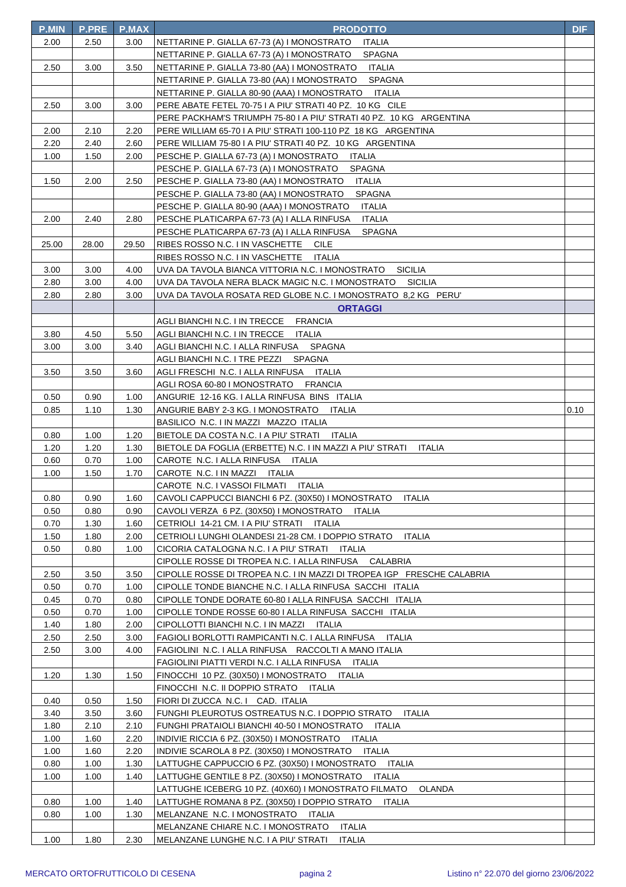| <b>P.MIN</b> | <b>P.PRE</b> | <b>P.MAX</b> | <b>PRODOTTO</b>                                                                                                                   | <b>DIF</b> |
|--------------|--------------|--------------|-----------------------------------------------------------------------------------------------------------------------------------|------------|
| 2.00         | 2.50         | 3.00         | NETTARINE P. GIALLA 67-73 (A) I MONOSTRATO<br>ITALIA                                                                              |            |
|              |              |              | <b>SPAGNA</b><br>NETTARINE P. GIALLA 67-73 (A) I MONOSTRATO                                                                       |            |
| 2.50         | 3.00         | 3.50         | NETTARINE P. GIALLA 73-80 (AA) I MONOSTRATO<br>ITALIA                                                                             |            |
|              |              |              | <b>SPAGNA</b><br>NETTARINE P. GIALLA 73-80 (AA) I MONOSTRATO                                                                      |            |
|              |              |              | NETTARINE P. GIALLA 80-90 (AAA) I MONOSTRATO<br>ITALIA                                                                            |            |
| 2.50         | 3.00         | 3.00         | PERE ABATE FETEL 70-75 I A PIU' STRATI 40 PZ. 10 KG CILE                                                                          |            |
|              |              |              | PERE PACKHAM'S TRIUMPH 75-80 I A PIU' STRATI 40 PZ. 10 KG ARGENTINA                                                               |            |
| 2.00         | 2.10         | 2.20         | PERE WILLIAM 65-70 I A PIU' STRATI 100-110 PZ 18 KG ARGENTINA                                                                     |            |
| 2.20         | 2.40         | 2.60         | PERE WILLIAM 75-80 I A PIU' STRATI 40 PZ. 10 KG ARGENTINA                                                                         |            |
| 1.00         | 1.50         | 2.00         | PESCHE P. GIALLA 67-73 (A) I MONOSTRATO<br>ITALIA                                                                                 |            |
|              |              |              | PESCHE P. GIALLA 67-73 (A) I MONOSTRATO<br><b>SPAGNA</b>                                                                          |            |
| 1.50         | 2.00         | 2.50         | PESCHE P. GIALLA 73-80 (AA) I MONOSTRATO<br>ITALIA                                                                                |            |
|              |              |              | PESCHE P. GIALLA 73-80 (AA) I MONOSTRATO<br><b>SPAGNA</b>                                                                         |            |
|              |              |              | PESCHE P. GIALLA 80-90 (AAA) I MONOSTRATO<br><b>ITALIA</b>                                                                        |            |
| 2.00         | 2.40         | 2.80         | <b>ITALIA</b><br>PESCHE PLATICARPA 67-73 (A) I ALLA RINFUSA                                                                       |            |
|              |              |              | PESCHE PLATICARPA 67-73 (A) I ALLA RINFUSA<br>SPAGNA                                                                              |            |
| 25.00        | 28.00        | 29.50        | RIBES ROSSO N.C. I IN VASCHETTE CILE                                                                                              |            |
|              |              |              | RIBES ROSSO N.C. I IN VASCHETTE ITALIA                                                                                            |            |
| 3.00         | 3.00         | 4.00         | UVA DA TAVOLA BIANCA VITTORIA N.C. I MONOSTRATO<br>SICILIA                                                                        |            |
| 2.80         | 3.00         | 4.00         | UVA DA TAVOLA NERA BLACK MAGIC N.C. I MONOSTRATO SICILIA                                                                          |            |
| 2.80         | 2.80         | 3.00         | UVA DA TAVOLA ROSATA RED GLOBE N.C. I MONOSTRATO 8.2 KG PERU'                                                                     |            |
|              |              |              | <b>ORTAGGI</b>                                                                                                                    |            |
|              |              |              | AGLI BIANCHI N.C. I IN TRECCE FRANCIA                                                                                             |            |
| 3.80         | 4.50         | 5.50         | AGLI BIANCHI N.C. I IN TRECCE ITALIA                                                                                              |            |
| 3.00         | 3.00         | 3.40         | AGLI BIANCHI N.C. I ALLA RINFUSA SPAGNA                                                                                           |            |
|              |              |              | AGLI BIANCHI N.C. I TRE PEZZI SPAGNA                                                                                              |            |
| 3.50         | 3.50         | 3.60         | AGLI FRESCHI N.C. I ALLA RINFUSA ITALIA                                                                                           |            |
|              |              |              | AGLI ROSA 60-80 I MONOSTRATO FRANCIA                                                                                              |            |
| 0.50         | 0.90         | 1.00         | ANGURIE 12-16 KG. I ALLA RINFUSA BINS ITALIA                                                                                      |            |
| 0.85         | 1.10         | 1.30         | ANGURIE BABY 2-3 KG. I MONOSTRATO ITALIA                                                                                          | 0.10       |
|              |              |              | BASILICO N.C. I IN MAZZI MAZZO ITALIA                                                                                             |            |
| 0.80         | 1.00         | 1.20         | BIETOLE DA COSTA N.C. I A PIU' STRATI ITALIA                                                                                      |            |
| 1.20         | 1.20         | 1.30         | BIETOLE DA FOGLIA (ERBETTE) N.C. I IN MAZZI A PIU' STRATI<br>ITALIA                                                               |            |
| 0.60         | 0.70         | 1.00         | CAROTE N.C. I ALLA RINFUSA ITALIA                                                                                                 |            |
|              |              |              |                                                                                                                                   |            |
| 1.00         | 1.50         | 1.70         | CAROTE N.C. I IN MAZZI ITALIA                                                                                                     |            |
|              |              |              | CAROTE N.C. I VASSOI FILMATI ITALIA                                                                                               |            |
| 0.80         | 0.90         | 1.60         | CAVOLI CAPPUCCI BIANCHI 6 PZ. (30X50) I MONOSTRATO ITALIA                                                                         |            |
| 0.50         | 0.80         | 0.90         | CAVOLI VERZA 6 PZ. (30X50) I MONOSTRATO<br>ITALIA                                                                                 |            |
| 0.70         | 1.30         | 1.60         | CETRIOLI 14-21 CM. I A PIU' STRATI ITALIA                                                                                         |            |
| 1.50         | 1.80         | 2.00         | CETRIOLI LUNGHI OLANDESI 21-28 CM. I DOPPIO STRATO<br>ITALIA                                                                      |            |
| 0.50         | 0.80         | 1.00         | CICORIA CATALOGNA N.C. I A PIU' STRATI ITALIA                                                                                     |            |
|              |              | 3.50         | CIPOLLE ROSSE DI TROPEA N.C. I ALLA RINFUSA<br>CALABRIA                                                                           |            |
| 2.50<br>0.50 | 3.50<br>0.70 | 1.00         | CIPOLLE ROSSE DI TROPEA N.C. I IN MAZZI DI TROPEA IGP FRESCHE CALABRIA<br>CIPOLLE TONDE BIANCHE N.C. I ALLA RINFUSA SACCHI ITALIA |            |
| 0.45         | 0.70         | 0.80         | CIPOLLE TONDE DORATE 60-80   ALLA RINFUSA SACCHI ITALIA                                                                           |            |
| 0.50         | 0.70         | 1.00         | CIPOLLE TONDE ROSSE 60-80   ALLA RINFUSA SACCHI ITALIA                                                                            |            |
| 1.40         | 1.80         | 2.00         | CIPOLLOTTI BIANCHI N.C. I IN MAZZI ITALIA                                                                                         |            |
| 2.50         | 2.50         | 3.00         | FAGIOLI BORLOTTI RAMPICANTI N.C. I ALLA RINFUSA<br>ITALIA                                                                         |            |
| 2.50         | 3.00         | 4.00         | FAGIOLINI N.C. I ALLA RINFUSA RACCOLTI A MANO ITALIA                                                                              |            |
|              |              |              | FAGIOLINI PIATTI VERDI N.C. I ALLA RINFUSA<br>ITALIA                                                                              |            |
| 1.20         | 1.30         | 1.50         | FINOCCHI 10 PZ. (30X50) I MONOSTRATO<br>ITALIA                                                                                    |            |
|              |              |              | FINOCCHI N.C. II DOPPIO STRATO<br>ITALIA                                                                                          |            |
| 0.40         | 0.50         | 1.50         | FIORI DI ZUCCA N.C. I CAD. ITALIA                                                                                                 |            |
| 3.40         | 3.50         | 3.60         | FUNGHI PLEUROTUS OSTREATUS N.C. I DOPPIO STRATO<br>ITALIA                                                                         |            |
| 1.80         | 2.10         | 2.10         | FUNGHI PRATAIOLI BIANCHI 40-50 I MONOSTRATO<br>ITALIA                                                                             |            |
| 1.00         | 1.60         | 2.20         | INDIVIE RICCIA 6 PZ. (30X50) I MONOSTRATO ITALIA                                                                                  |            |
| 1.00         | 1.60         | 2.20         | INDIVIE SCAROLA 8 PZ. (30X50) I MONOSTRATO<br>ITALIA                                                                              |            |
| 0.80         | 1.00         | 1.30         | LATTUGHE CAPPUCCIO 6 PZ. (30X50) I MONOSTRATO<br>ITALIA                                                                           |            |
| 1.00         | 1.00         | 1.40         | LATTUGHE GENTILE 8 PZ. (30X50) I MONOSTRATO ITALIA                                                                                |            |
|              |              |              | <b>OLANDA</b><br>LATTUGHE ICEBERG 10 PZ. (40X60) I MONOSTRATO FILMATO                                                             |            |
| 0.80         | 1.00         | 1.40         | LATTUGHE ROMANA 8 PZ. (30X50) I DOPPIO STRATO<br>ITALIA                                                                           |            |
| 0.80         | 1.00         | 1.30         | MELANZANE N.C. I MONOSTRATO<br>ITALIA                                                                                             |            |
| 1.00         | 1.80         | 2.30         | MELANZANE CHIARE N.C. I MONOSTRATO<br><b>ITALIA</b><br>MELANZANE LUNGHE N.C. I A PIU' STRATI<br><b>ITALIA</b>                     |            |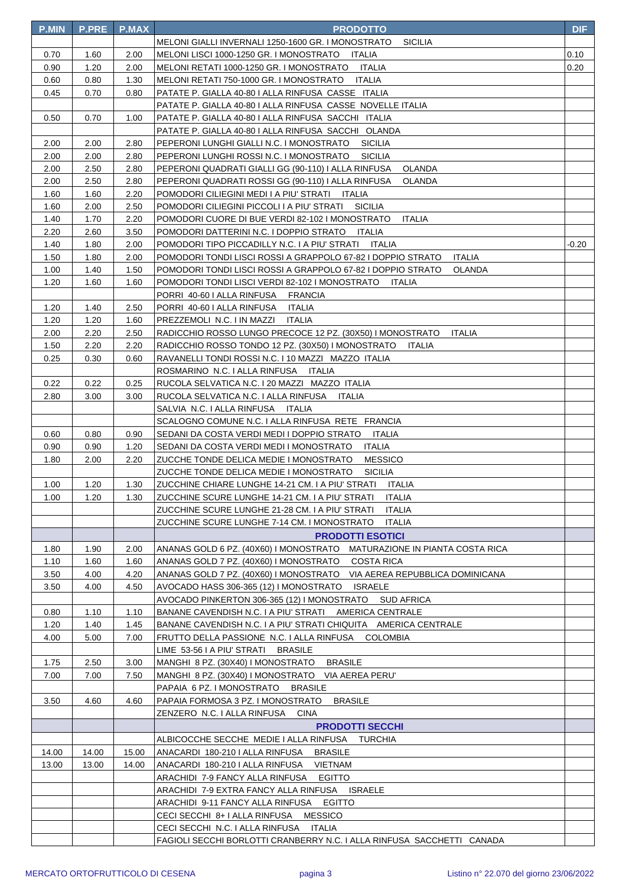| <b>P.MIN</b> | <b>P.PRE</b> | <b>P.MAX</b> | <b>PRODOTTO</b>                                                              | <b>DIF</b> |
|--------------|--------------|--------------|------------------------------------------------------------------------------|------------|
|              |              |              | MELONI GIALLI INVERNALI 1250-1600 GR. I MONOSTRATO<br><b>SICILIA</b>         |            |
| 0.70         | 1.60         | 2.00         | MELONI LISCI 1000-1250 GR. I MONOSTRATO ITALIA                               | 0.10       |
| 0.90         | 1.20         | 2.00         | MELONI RETATI 1000-1250 GR. I MONOSTRATO ITALIA                              | 0.20       |
| 0.60         | 0.80         | 1.30         | MELONI RETATI 750-1000 GR. I MONOSTRATO ITALIA                               |            |
| 0.45         | 0.70         | 0.80         | PATATE P. GIALLA 40-80   ALLA RINFUSA CASSE ITALIA                           |            |
|              |              |              | PATATE P. GIALLA 40-80 I ALLA RINFUSA CASSE NOVELLE ITALIA                   |            |
| 0.50         | 0.70         | 1.00         | PATATE P. GIALLA 40-80 I ALLA RINFUSA SACCHI ITALIA                          |            |
|              |              |              | PATATE P. GIALLA 40-80   ALLA RINFUSA SACCHI OLANDA                          |            |
| 2.00         | 2.00         | 2.80         | PEPERONI LUNGHI GIALLI N.C. I MONOSTRATO<br><b>SICILIA</b>                   |            |
| 2.00         | 2.00         | 2.80         | PEPERONI LUNGHI ROSSI N.C. I MONOSTRATO<br>SICILIA                           |            |
| 2.00         | 2.50         | 2.80         | PEPERONI QUADRATI GIALLI GG (90-110) I ALLA RINFUSA<br>OLANDA                |            |
| 2.00         | 2.50         | 2.80         | PEPERONI QUADRATI ROSSI GG (90-110) I ALLA RINFUSA<br>OLANDA                 |            |
| 1.60         | 1.60         | 2.20         | POMODORI CILIEGINI MEDI I A PIU' STRATI ITALIA                               |            |
| 1.60         | 2.00         | 2.50         | POMODORI CILIEGINI PICCOLI I A PIU' STRATI SICILIA                           |            |
| 1.40         | 1.70         | 2.20         | POMODORI CUORE DI BUE VERDI 82-102 I MONOSTRATO<br>ITALIA                    |            |
| 2.20         | 2.60         | 3.50         | POMODORI DATTERINI N.C. I DOPPIO STRATO ITALIA                               |            |
| 1.40         | 1.80         | 2.00         | POMODORI TIPO PICCADILLY N.C. I A PIU' STRATI ITALIA                         | -0.20      |
| 1.50         | 1.80         | 2.00         | POMODORI TONDI LISCI ROSSI A GRAPPOLO 67-82 I DOPPIO STRATO<br><b>ITALIA</b> |            |
| 1.00         | 1.40         | 1.50         | POMODORI TONDI LISCI ROSSI A GRAPPOLO 67-82 I DOPPIO STRATO<br>OLANDA        |            |
| 1.20         | 1.60         | 1.60         | POMODORI TONDI LISCI VERDI 82-102 I MONOSTRATO<br>ITALIA                     |            |
|              |              |              | PORRI 40-60 I ALLA RINFUSA FRANCIA                                           |            |
| 1.20         | 1.40         | 2.50         | PORRI 40-60 I ALLA RINFUSA<br>ITALIA                                         |            |
| 1.20         | 1.20         | 1.60         | PREZZEMOLI N.C. I IN MAZZI<br>ITALIA                                         |            |
| 2.00         | 2.20         | 2.50         | RADICCHIO ROSSO LUNGO PRECOCE 12 PZ. (30X50) I MONOSTRATO<br><b>ITALIA</b>   |            |
| 1.50         | 2.20         | 2.20         | RADICCHIO ROSSO TONDO 12 PZ. (30X50) I MONOSTRATO ITALIA                     |            |
| 0.25         | 0.30         | 0.60         | RAVANELLI TONDI ROSSI N.C. I 10 MAZZI MAZZO ITALIA                           |            |
|              |              |              | ROSMARINO N.C. I ALLA RINFUSA ITALIA                                         |            |
| 0.22         | 0.22         | 0.25         | RUCOLA SELVATICA N.C. I 20 MAZZI MAZZO ITALIA                                |            |
| 2.80         | 3.00         | 3.00         | RUCOLA SELVATICA N.C. I ALLA RINFUSA<br>ITALIA                               |            |
|              |              |              | SALVIA N.C. I ALLA RINFUSA ITALIA                                            |            |
|              |              |              | SCALOGNO COMUNE N.C. I ALLA RINFUSA RETE FRANCIA                             |            |
| 0.60         | 0.80         | 0.90         | SEDANI DA COSTA VERDI MEDI I DOPPIO STRATO ITALIA                            |            |
| 0.90         | 0.90         | 1.20         | SEDANI DA COSTA VERDI MEDI I MONOSTRATO<br><b>ITALIA</b>                     |            |
| 1.80         | 2.00         | 2.20         | <b>MESSICO</b><br>ZUCCHE TONDE DELICA MEDIE I MONOSTRATO                     |            |
|              |              |              | ZUCCHE TONDE DELICA MEDIE I MONOSTRATO<br><b>SICILIA</b>                     |            |
| 1.00         | 1.20         | 1.30         | ZUCCHINE CHIARE LUNGHE 14-21 CM. I A PIU' STRATI ITALIA                      |            |
| 1.00         | 1.20         | 1.30         | ZUCCHINE SCURE LUNGHE 14-21 CM. I A PIU' STRATI<br><b>ITALIA</b>             |            |
|              |              |              | ZUCCHINE SCURE LUNGHE 21-28 CM. I A PIU' STRATI<br>ITALIA                    |            |
|              |              |              | ZUCCHINE SCURE LUNGHE 7-14 CM. I MONOSTRATO<br><b>ITALIA</b>                 |            |
|              |              |              | <b>PRODOTTI ESOTICI</b>                                                      |            |
| 1.80         | 1.90         | 2.00         | ANANAS GOLD 6 PZ. (40X60) I MONOSTRATO MATURAZIONE IN PIANTA COSTA RICA      |            |
| 1.10         | 1.60         | 1.60         | <b>COSTA RICA</b><br>ANANAS GOLD 7 PZ. (40X60) I MONOSTRATO                  |            |
| 3.50         | 4.00         | 4.20         | ANANAS GOLD 7 PZ. (40X60) I MONOSTRATO VIA AEREA REPUBBLICA DOMINICANA       |            |
| 3.50         | 4.00         | 4.50         | AVOCADO HASS 306-365 (12) I MONOSTRATO<br><b>ISRAELE</b>                     |            |
|              |              |              | AVOCADO PINKERTON 306-365 (12) I MONOSTRATO<br><b>SUD AFRICA</b>             |            |
| 0.80         | 1.10         | 1.10         | BANANE CAVENDISH N.C. I A PIU' STRATI AMERICA CENTRALE                       |            |
| 1.20         | 1.40         | 1.45         | BANANE CAVENDISH N.C. I A PIU' STRATI CHIQUITA AMERICA CENTRALE              |            |
| 4.00         | 5.00         | 7.00         | FRUTTO DELLA PASSIONE N.C. I ALLA RINFUSA<br><b>COLOMBIA</b>                 |            |
|              |              |              | LIME 53-56 I A PIU' STRATI<br><b>BRASILE</b>                                 |            |
| 1.75         | 2.50         | 3.00         | <b>BRASILE</b><br>MANGHI 8 PZ. (30X40) I MONOSTRATO                          |            |
| 7.00         | 7.00         | 7.50         | MANGHI 8 PZ. (30X40) I MONOSTRATO VIA AEREA PERU'                            |            |
|              |              |              | PAPAIA 6 PZ. I MONOSTRATO<br><b>BRASILE</b>                                  |            |
| 3.50         | 4.60         | 4.60         | PAPAIA FORMOSA 3 PZ. I MONOSTRATO<br><b>BRASILE</b>                          |            |
|              |              |              | ZENZERO N.C. I ALLA RINFUSA<br><b>CINA</b>                                   |            |
|              |              |              | <b>PRODOTTI SECCHI</b>                                                       |            |
|              |              |              | ALBICOCCHE SECCHE MEDIE I ALLA RINFUSA TURCHIA                               |            |
| 14.00        | 14.00        | 15.00        | ANACARDI 180-210 I ALLA RINFUSA<br><b>BRASILE</b>                            |            |
| 13.00        | 13.00        | 14.00        | ANACARDI 180-210 I ALLA RINFUSA<br><b>VIETNAM</b>                            |            |
|              |              |              | ARACHIDI 7-9 FANCY ALLA RINFUSA<br><b>EGITTO</b>                             |            |
|              |              |              | ARACHIDI 7-9 EXTRA FANCY ALLA RINFUSA<br><b>ISRAELE</b>                      |            |
|              |              |              | ARACHIDI 9-11 FANCY ALLA RINFUSA<br><b>EGITTO</b>                            |            |
|              |              |              | CECI SECCHI 8+ I ALLA RINFUSA<br><b>MESSICO</b>                              |            |
|              |              |              | CECI SECCHI N.C. I ALLA RINFUSA<br>ITALIA                                    |            |
|              |              |              | FAGIOLI SECCHI BORLOTTI CRANBERRY N.C. I ALLA RINFUSA SACCHETTI CANADA       |            |
|              |              |              |                                                                              |            |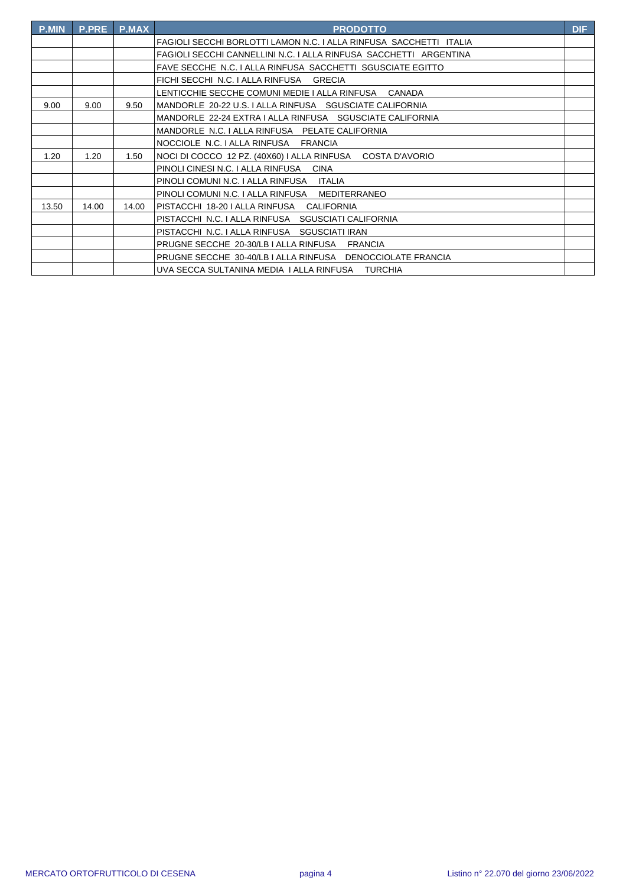| <b>P.MIN</b> | <b>P.PRE</b> | <b>P.MAX</b> | <b>PRODOTTO</b>                                                    | <b>DIF</b> |
|--------------|--------------|--------------|--------------------------------------------------------------------|------------|
|              |              |              | FAGIOLI SECCHI BORLOTTI LAMON N.C. I ALLA RINFUSA SACCHETTI ITALIA |            |
|              |              |              | FAGIOLI SECCHI CANNELLINI N.C. I ALLA RINFUSA SACCHETTI ARGENTINA  |            |
|              |              |              | FAVE SECCHE N.C. I ALLA RINFUSA SACCHETTI SGUSCIATE EGITTO         |            |
|              |              |              | FICHI SECCHI N.C. I ALLA RINFUSA<br><b>GRECIA</b>                  |            |
|              |              |              | LENTICCHIE SECCHE COMUNI MEDIE I ALLA RINFUSA<br>CANADA            |            |
| 9.00         | 9.00         | 9.50         | MANDORLE 20-22 U.S. I ALLA RINFUSA SGUSCIATE CALIFORNIA            |            |
|              |              |              | MANDORLE 22-24 EXTRA I ALLA RINFUSA SGUSCIATE CALIFORNIA           |            |
|              |              |              | MANDORLE N.C. I ALLA RINFUSA PELATE CALIFORNIA                     |            |
|              |              |              | NOCCIOLE N.C. I ALLA RINFUSA<br><b>FRANCIA</b>                     |            |
| 1.20         | 1.20         | 1.50         | NOCI DI COCCO 12 PZ. (40X60) I ALLA RINFUSA<br>COSTA D'AVORIO      |            |
|              |              |              | PINOLI CINESI N.C. I ALLA RINFUSA<br><b>CINA</b>                   |            |
|              |              |              | PINOLI COMUNI N.C. I ALLA RINFUSA ITALIA                           |            |
|              |              |              | PINOLI COMUNI N.C. I ALLA RINFUSA MEDITERRANEO                     |            |
| 13.50        | 14.00        | 14.00        | IPISTACCHI 18-20 I ALLA RINFUSA CALIFORNIA                         |            |
|              |              |              | PISTACCHI N.C. I ALLA RINFUSA SGUSCIATI CALIFORNIA                 |            |
|              |              |              | PISTACCHI N.C. I ALLA RINFUSA SGUSCIATI IRAN                       |            |
|              |              |              | PRUGNE SECCHE 20-30/LB I ALLA RINFUSA<br><b>FRANCIA</b>            |            |
|              |              |              | PRUGNE SECCHE 30-40/LB I ALLA RINFUSA DENOCCIOLATE FRANCIA         |            |
|              |              |              | UVA SECCA SULTANINA MEDIA I ALLA RINFUSA TURCHIA                   |            |